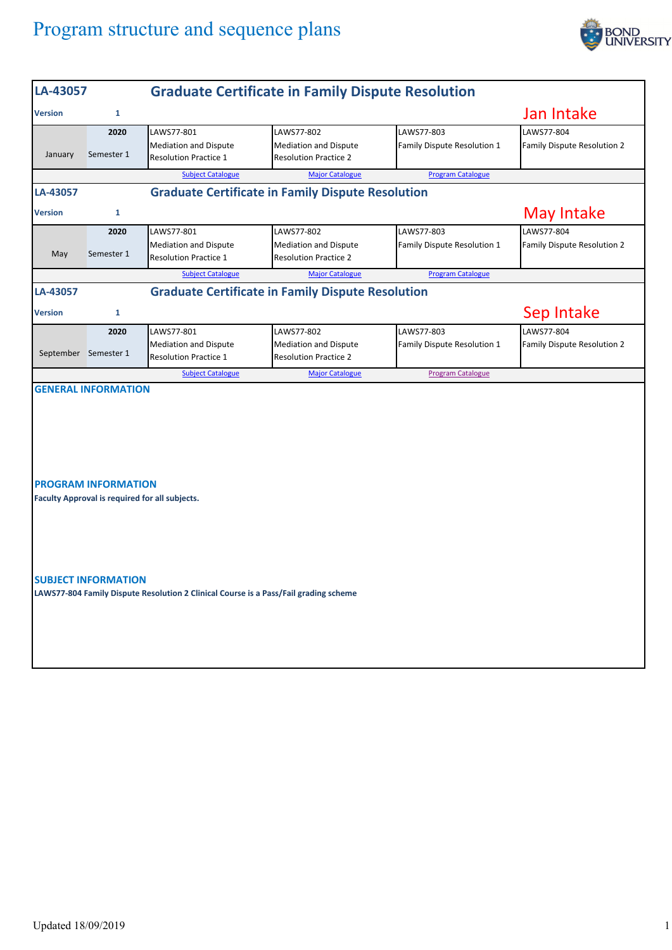## Program structure and sequence plans



| LA-43057                                                                                                           |                                                          | <b>Graduate Certificate in Family Dispute Resolution</b>                   |                                                                            |                                           |                                                  |  |  |
|--------------------------------------------------------------------------------------------------------------------|----------------------------------------------------------|----------------------------------------------------------------------------|----------------------------------------------------------------------------|-------------------------------------------|--------------------------------------------------|--|--|
| <b>Version</b>                                                                                                     | 1                                                        |                                                                            |                                                                            |                                           | Jan Intake                                       |  |  |
| January                                                                                                            | 2020<br>Semester 1                                       | LAWS77-801<br><b>Mediation and Dispute</b><br><b>Resolution Practice 1</b> | LAWS77-802<br><b>Mediation and Dispute</b><br><b>Resolution Practice 2</b> | LAWS77-803<br>Family Dispute Resolution 1 | LAWS77-804<br><b>Family Dispute Resolution 2</b> |  |  |
|                                                                                                                    |                                                          | <b>Subject Catalogue</b>                                                   | <b>Major Catalogue</b>                                                     | <b>Program Catalogue</b>                  |                                                  |  |  |
| LA-43057                                                                                                           | <b>Graduate Certificate in Family Dispute Resolution</b> |                                                                            |                                                                            |                                           |                                                  |  |  |
| <b>Version</b>                                                                                                     | 1                                                        | <b>May Intake</b>                                                          |                                                                            |                                           |                                                  |  |  |
| May                                                                                                                | 2020<br>Semester 1                                       | LAWS77-801<br><b>Mediation and Dispute</b><br><b>Resolution Practice 1</b> | LAWS77-802<br><b>Mediation and Dispute</b><br><b>Resolution Practice 2</b> | LAWS77-803<br>Family Dispute Resolution 1 | LAWS77-804<br>Family Dispute Resolution 2        |  |  |
|                                                                                                                    |                                                          | <b>Subject Catalogue</b>                                                   | <b>Major Catalogue</b>                                                     | <b>Program Catalogue</b>                  |                                                  |  |  |
| LA-43057                                                                                                           |                                                          | <b>Graduate Certificate in Family Dispute Resolution</b>                   |                                                                            |                                           |                                                  |  |  |
| <b>Version</b>                                                                                                     | 1                                                        |                                                                            | Sep Intake                                                                 |                                           |                                                  |  |  |
|                                                                                                                    | 2020<br>September Semester 1                             | LAWS77-801<br><b>Mediation and Dispute</b><br><b>Resolution Practice 1</b> | LAWS77-802<br><b>Mediation and Dispute</b><br><b>Resolution Practice 2</b> | LAWS77-803<br>Family Dispute Resolution 1 | LAWS77-804<br>Family Dispute Resolution 2        |  |  |
|                                                                                                                    |                                                          | <b>Subject Catalogue</b>                                                   | <b>Major Catalogue</b>                                                     | <b>Program Catalogue</b>                  |                                                  |  |  |
| <b>PROGRAM INFORMATION</b><br>Faculty Approval is required for all subjects.                                       |                                                          |                                                                            |                                                                            |                                           |                                                  |  |  |
| <b>SUBJECT INFORMATION</b><br>LAWS77-804 Family Dispute Resolution 2 Clinical Course is a Pass/Fail grading scheme |                                                          |                                                                            |                                                                            |                                           |                                                  |  |  |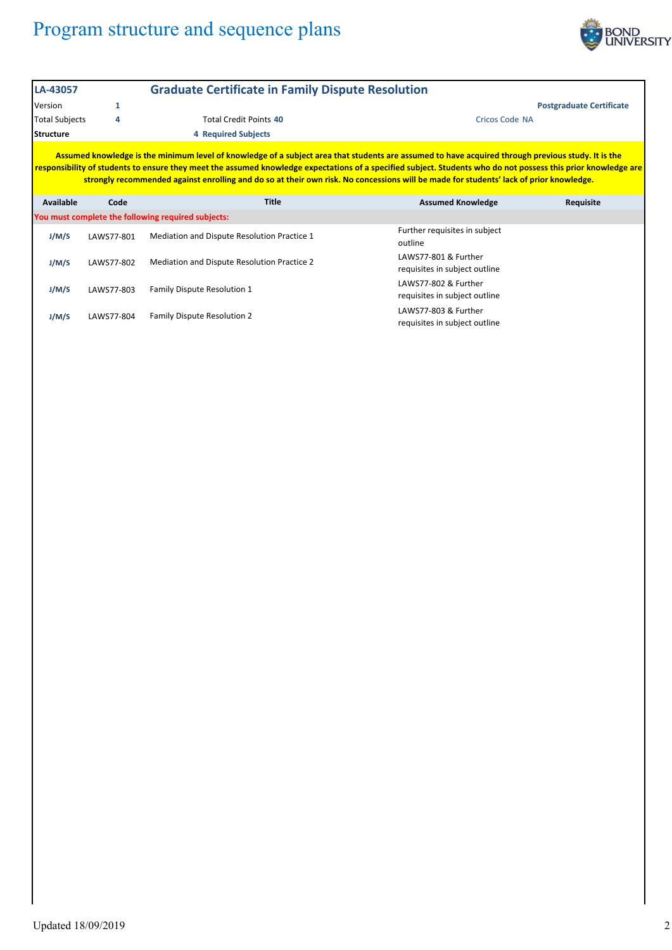## Program structure and sequence plans



| LA-43057                                                                                                                                                                                                                                                                                                                                                                                                                                                                                                                                                   |            | <b>Graduate Certificate in Family Dispute Resolution</b> |                                                       |  |  |  |  |
|------------------------------------------------------------------------------------------------------------------------------------------------------------------------------------------------------------------------------------------------------------------------------------------------------------------------------------------------------------------------------------------------------------------------------------------------------------------------------------------------------------------------------------------------------------|------------|----------------------------------------------------------|-------------------------------------------------------|--|--|--|--|
| Version                                                                                                                                                                                                                                                                                                                                                                                                                                                                                                                                                    | 1          |                                                          | <b>Postgraduate Certificate</b>                       |  |  |  |  |
| <b>Total Subjects</b>                                                                                                                                                                                                                                                                                                                                                                                                                                                                                                                                      | 4          | <b>Total Credit Points 40</b>                            | <b>Cricos Code NA</b>                                 |  |  |  |  |
| <b>Structure</b><br><b>4 Required Subjects</b>                                                                                                                                                                                                                                                                                                                                                                                                                                                                                                             |            |                                                          |                                                       |  |  |  |  |
| Assumed knowledge is the minimum level of knowledge of a subject area that students are assumed to have acquired through previous study. It is the<br>responsibility of students to ensure they meet the assumed knowledge expectations of a specified subject. Students who do not possess this prior knowledge are<br>strongly recommended against enrolling and do so at their own risk. No concessions will be made for students' lack of prior knowledge.<br><b>Title</b><br><b>Assumed Knowledge</b><br><b>Available</b><br>Code<br><b>Requisite</b> |            |                                                          |                                                       |  |  |  |  |
|                                                                                                                                                                                                                                                                                                                                                                                                                                                                                                                                                            |            | You must complete the following required subjects:       |                                                       |  |  |  |  |
| J/M/S                                                                                                                                                                                                                                                                                                                                                                                                                                                                                                                                                      | LAWS77-801 | Mediation and Dispute Resolution Practice 1              | Further requisites in subject<br>outline              |  |  |  |  |
| J/M/S                                                                                                                                                                                                                                                                                                                                                                                                                                                                                                                                                      | LAWS77-802 | Mediation and Dispute Resolution Practice 2              | LAWS77-801 & Further<br>requisites in subject outline |  |  |  |  |
| J/M/S                                                                                                                                                                                                                                                                                                                                                                                                                                                                                                                                                      | LAWS77-803 | <b>Family Dispute Resolution 1</b>                       | LAWS77-802 & Further<br>requisites in subject outline |  |  |  |  |

LAWS77‐803 & Further requisites in subject outline

**J/M/S** LAWS77‐804 Family Dispute Resolution 2